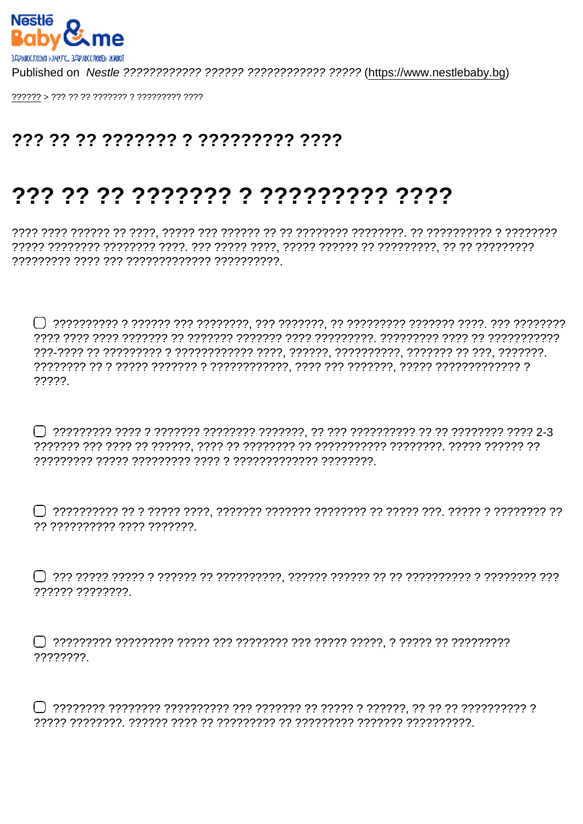## ??? ?? ?? ??????? ? ????????? ????

## ??? ?? ?? ??????? ? ???????? ????

?????

?? ?????????? ???? ???????.

777777 77777777

????????